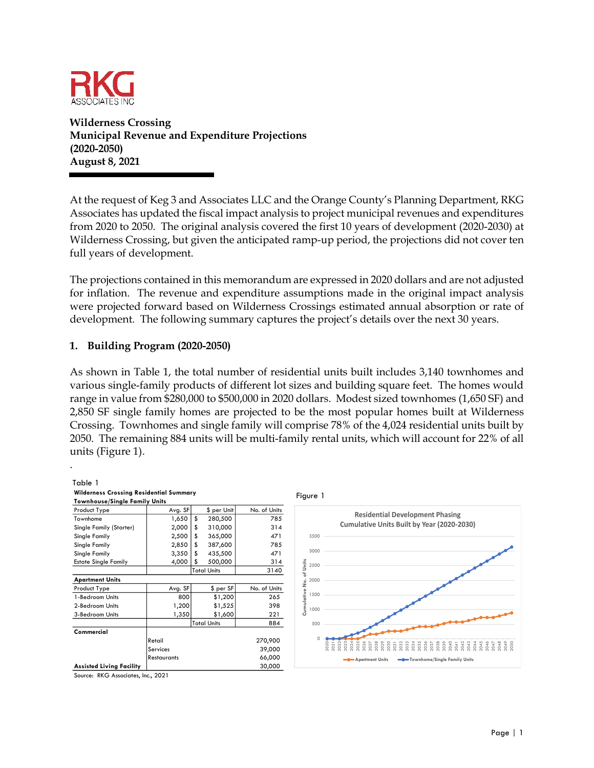

**Wilderness Crossing Municipal Revenue and Expenditure Projections (2020-2050) August 8, 2021**

At the request of Keg 3 and Associates LLC and the Orange County's Planning Department, RKG Associates has updated the fiscal impact analysis to project municipal revenues and expenditures from 2020 to 2050. The original analysis covered the first 10 years of development (2020-2030) at Wilderness Crossing, but given the anticipated ramp-up period, the projections did not cover ten full years of development.

The projections contained in this memorandum are expressed in 2020 dollars and are not adjusted for inflation. The revenue and expenditure assumptions made in the original impact analysis were projected forward based on Wilderness Crossings estimated annual absorption or rate of development. The following summary captures the project's details over the next 30 years.

## **1. Building Program (2020-2050)**

As shown in Table 1, the total number of residential units built includes 3,140 townhomes and various single-family products of different lot sizes and building square feet. The homes would range in value from \$280,000 to \$500,000 in 2020 dollars. Modest sized townhomes (1,650 SF) and 2,850 SF single family homes are projected to be the most popular homes built at Wilderness Crossing. Townhomes and single family will comprise 78% of the 4,024 residential units built by 2050. The remaining 884 units will be multi-family rental units, which will account for 22% of all units (Figure 1).

| Table 1                                        |                 |                    |             |              |                   |                                                                                                                                                                                                                                                |
|------------------------------------------------|-----------------|--------------------|-------------|--------------|-------------------|------------------------------------------------------------------------------------------------------------------------------------------------------------------------------------------------------------------------------------------------|
| <b>Wilderness Crossing Residential Summary</b> |                 |                    |             |              | Figure 1          |                                                                                                                                                                                                                                                |
| <b>Townhouse/Single Family Units</b>           |                 |                    |             |              |                   |                                                                                                                                                                                                                                                |
| Product Type                                   | Avg. SF         |                    | \$ per Unit | No. of Units |                   |                                                                                                                                                                                                                                                |
| Townhome                                       | 1,650           | \$                 | 280,500     | 785          |                   | <b>Residential Development Phasing</b>                                                                                                                                                                                                         |
| Single Family (Starter)                        | 2,000           | -S                 | 310,000     | 314          |                   | Cumulative Units Built by Year (2020-2030)                                                                                                                                                                                                     |
| Single Family                                  | 2,500           | \$                 | 365,000     | 471          | 3500              |                                                                                                                                                                                                                                                |
| Single Family                                  | 2,850           | S                  | 387,600     | 785          |                   |                                                                                                                                                                                                                                                |
| Single Family                                  | 3,350           | -5                 | 435,500     | 471          | 3000              |                                                                                                                                                                                                                                                |
| <b>Estate Single Family</b>                    | 4,000           |                    | 500,000     | 314          | Units<br>2500     |                                                                                                                                                                                                                                                |
|                                                |                 | <b>Total Units</b> |             | 3140         | ጜ                 |                                                                                                                                                                                                                                                |
| <b>Apartment Units</b>                         |                 |                    |             |              | 2000<br>ó         |                                                                                                                                                                                                                                                |
| Product Type                                   | Avg. SF         |                    | \$ per SF   | No. of Units | z<br>ω            |                                                                                                                                                                                                                                                |
| 1-Bedroom Units                                | 800             |                    | \$1,200     | 265          | Cumulativ<br>1500 |                                                                                                                                                                                                                                                |
| 2-Bedroom Units                                | 1,200           |                    | \$1,525     | 398          | 1000              |                                                                                                                                                                                                                                                |
| 3-Bedroom Units                                | 1,350           |                    | \$1,600     | 221          |                   |                                                                                                                                                                                                                                                |
|                                                |                 | <b>Total Units</b> |             | 884          | 500               |                                                                                                                                                                                                                                                |
| Commercial                                     |                 |                    |             |              |                   |                                                                                                                                                                                                                                                |
|                                                | Retail          |                    |             | 270,900      |                   | 28<br>g<br>$\frac{6}{2}$                                                                                                                                                                                                                       |
|                                                | <b>Services</b> |                    |             | 39,000       |                   | 2035<br>2038<br>2039<br>2040<br>033<br>034<br>2036<br>032<br>$\overline{0}31$<br>2037<br>$\overline{027}$<br>$\overline{5}$<br>$\overline{6}$<br>300<br>ö<br>ö<br>ò<br>ò<br>ö<br>$\circ$<br>$\circ$<br>$\circ$<br>$\circ$<br>Ó<br>⌒<br>$\circ$ |
|                                                | Restaurants     |                    |             | 66,000       |                   | -Townhome/Single Family Units<br><b>-0-Apartment Units</b>                                                                                                                                                                                     |
| <b>Assisted Living Facility</b>                |                 |                    |             | 30,000       |                   |                                                                                                                                                                                                                                                |

Source: RKG Associates, Inc., 2021

.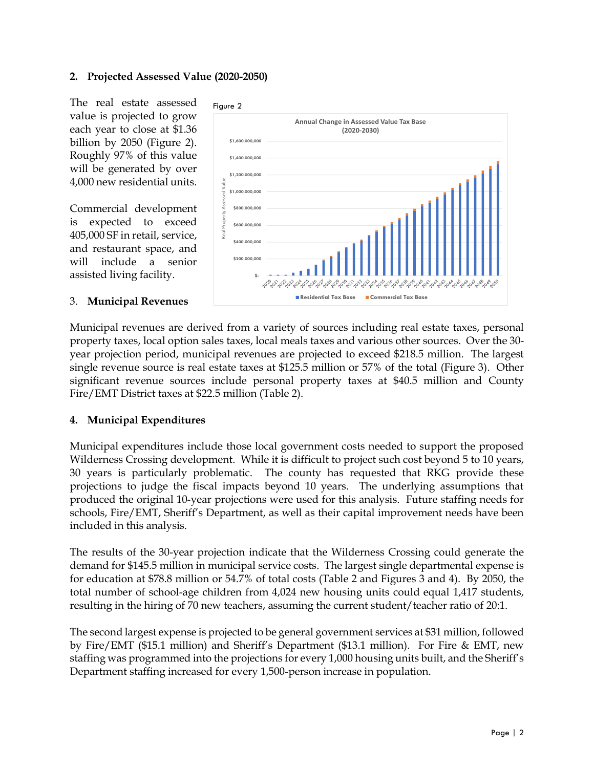## **2. Projected Assessed Value (2020-2050)**

The real estate assessed value is projected to grow each year to close at \$1.36 billion by 2050 (Figure 2). Roughly 97% of this value will be generated by over 4,000 new residential units.

Commercial development is expected to exceed 405,000 SF in retail, service, and restaurant space, and will include a senior assisted living facility.

#### 3. **Municipal Revenues**



Municipal revenues are derived from a variety of sources including real estate taxes, personal property taxes, local option sales taxes, local meals taxes and various other sources. Over the 30 year projection period, municipal revenues are projected to exceed \$218.5 million. The largest single revenue source is real estate taxes at \$125.5 million or 57% of the total (Figure 3). Other significant revenue sources include personal property taxes at \$40.5 million and County Fire/EMT District taxes at \$22.5 million (Table 2).

## **4. Municipal Expenditures**

Municipal expenditures include those local government costs needed to support the proposed Wilderness Crossing development. While it is difficult to project such cost beyond 5 to 10 years, 30 years is particularly problematic. The county has requested that RKG provide these projections to judge the fiscal impacts beyond 10 years. The underlying assumptions that produced the original 10-year projections were used for this analysis. Future staffing needs for schools, Fire/EMT, Sheriff's Department, as well as their capital improvement needs have been included in this analysis.

The results of the 30-year projection indicate that the Wilderness Crossing could generate the demand for \$145.5 million in municipal service costs. The largest single departmental expense is for education at \$78.8 million or 54.7% of total costs (Table 2 and Figures 3 and 4). By 2050, the total number of school-age children from 4,024 new housing units could equal 1,417 students, resulting in the hiring of 70 new teachers, assuming the current student/teacher ratio of 20:1.

The second largest expense is projected to be general government services at \$31 million, followed by Fire/EMT (\$15.1 million) and Sheriff's Department (\$13.1 million). For Fire & EMT, new staffing was programmed into the projections for every 1,000 housing units built, and the Sheriff's Department staffing increased for every 1,500-person increase in population.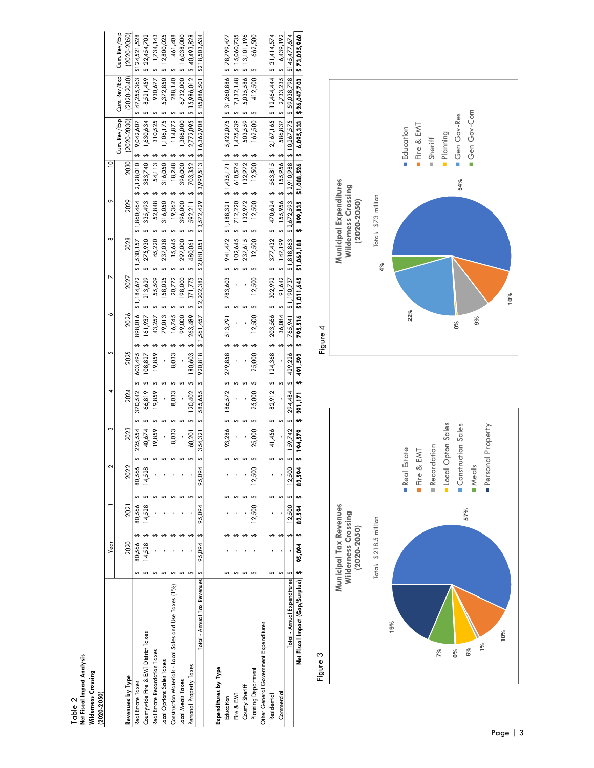| $(2020 - 2050)$                                         |           |             |        |               |         |                      |         |             |             |             |                                                     |             |              |                 |                                                                                                           |                                                                                                                                   |
|---------------------------------------------------------|-----------|-------------|--------|---------------|---------|----------------------|---------|-------------|-------------|-------------|-----------------------------------------------------|-------------|--------------|-----------------|-----------------------------------------------------------------------------------------------------------|-----------------------------------------------------------------------------------------------------------------------------------|
|                                                         | Year      |             |        | ς             |         |                      |         |             |             |             | $\infty$                                            |             |              |                 |                                                                                                           |                                                                                                                                   |
|                                                         |           |             |        |               |         |                      |         |             |             |             |                                                     |             |              | Cum. Rev/Exp    | Cum. Rev/Exp                                                                                              | Cum. Rev/Exp                                                                                                                      |
| Revenues by Type                                        | 2020      | 2021        | 2022   | 2023          | 2024    |                      | 2025    | 2026        | 2027        | 2028        |                                                     | 2029        | 2030         | $(2020 - 2030)$ | $(2020 - 2040)$                                                                                           | $(2020 - 2050)$                                                                                                                   |
| Real Estate Taxes                                       | 80,566    | 80,566      | 80,566 | 225,554       | 370,542 |                      | 603,495 | 898,016     | \$1,184,672 | \$1,530,157 | \$1,860,464                                         | \$2,128,010 |              |                 | $9,042,607$ \$ 47,255,363                                                                                 | \$124,521,528                                                                                                                     |
| Countywide Fire & EMT District Taxes                    | 14,528    | 14,528      | 14,528 | 40,674        | 66,819  |                      | 108,827 | 161,937     | 213,629     | 275,930     | 335,493                                             |             | 383,740      | 1,630,634       | 8,521,459                                                                                                 | \$22,454,702                                                                                                                      |
| Real Estate Recordation Taxes                           |           |             |        | 19,859        | 19,859  |                      | 19,859  | 43,257      | 55,509      | 45,220      | 52,848                                              |             | 54,113       | 310,525         | 930,677                                                                                                   | \$1,734,143                                                                                                                       |
| Local Options Sales Taxes                               |           |             |        |               |         |                      |         | 79,013      | 58,025      | 237,038     | 316,050                                             |             | 316,050      | ,106,175        | 5,372,850                                                                                                 | 12,800,025                                                                                                                        |
| Construction Materials - Local Sales and Use Taxes (1%) |           |             |        | 8,033         | 8,033   |                      | 8,033   | 16,745      | 20,772      | 15,645      | 19,362                                              |             | 18,248       | 114,872         | 288,140                                                                                                   | 461,408                                                                                                                           |
| Local Meals Taxes                                       |           |             |        |               |         |                      |         | 99,000      | 198,000     | 297,000     | 396,000                                             |             | 396,000      | ,386,000        | 6,732,000                                                                                                 | \$16,038,000                                                                                                                      |
| Personal Property Taxes                                 |           |             |        | 60,201        | 120.402 |                      | 180.603 | 263,489     | 371,775     | 480,061     | 592,211                                             |             | 703,352      |                 | 2,772.095   \$ 15,986.012                                                                                 | \$40,493,828                                                                                                                      |
| Total - Annual Tax Revenues   \$                        | 95,094 \$ | 95,094 \$   | 95,094 | S<br>354,321  | 585,655 |                      | 920,818 | \$1,561,457 | \$2,202,382 | \$2,881,051 | \$3,572,429                                         | \$3,999,513 |              | \$16,362,908    | \$85,086,501                                                                                              | \$218,503,634                                                                                                                     |
|                                                         |           |             |        |               |         |                      |         |             |             |             |                                                     |             |              |                 |                                                                                                           |                                                                                                                                   |
| Expenditures by Type                                    |           |             |        |               |         |                      |         |             |             |             |                                                     |             |              |                 |                                                                                                           |                                                                                                                                   |
| Education                                               |           |             |        | 93,286        | 186,572 |                      | 279,858 | 513,791     | \$783,603   | 941,472     | \$1,188,321                                         |             |              |                 |                                                                                                           | $$1,435,171$ $$5,422,075$ $$31,260,886$ $$78,799,477$                                                                             |
| Fire & EMT                                              |           |             |        |               |         |                      |         |             |             | 102,645     | \$712,220                                           |             | $610,574$ \$ |                 | $1,425,439$ \$ 7,132,148                                                                                  | \$15,060,735                                                                                                                      |
| County Sheriff                                          |           |             |        |               |         |                      |         |             |             | 237,615     | 132,972                                             |             | 132,972      | 503,559         | 5,035,586                                                                                                 | \$13,101,196                                                                                                                      |
| <b>Planning Department</b>                              |           | 2,500       | 12,500 | 25,000        | 25,000  |                      | 25,000  | 12,500      | 12,500      | 12,500      | 12,500                                              |             | 12,500       | 162,500         | 412,500                                                                                                   | 662,500                                                                                                                           |
| Other General Government Expenditures                   |           |             |        |               |         |                      |         |             |             |             |                                                     |             |              |                 |                                                                                                           |                                                                                                                                   |
| Residential                                             |           |             |        | 41,456        |         | 82,912 \$ 124,368 \$ |         |             |             |             | $203,566$ \$ $302,992$ \$ $377,432$ \$ $470,624$ \$ |             |              |                 |                                                                                                           | $563,815$ \$ 2,167,165 \$ 12,464,444 \$ 31,414,574                                                                                |
| Commercial                                              |           |             |        |               |         |                      |         | 36,084      |             |             | 91,642 \$ 147,199 \$ 155,956 \$ 155,956 \$          |             |              |                 | 586,837   \$ 2,733,235                                                                                    | \$6,439,192                                                                                                                       |
| Total - Annual Expenditures   \$                        |           | $12,500$ \$ | 12,500 | $$159,742$ \$ |         |                      |         |             |             |             |                                                     |             |              |                 | 294.484 \$ 429,226 \$ 765.941 \$1,190,737 \$1,818.863 \$2,672.593 \$2.910.988 \$10.267.575 \$59,038.798 } | \$145,477,674                                                                                                                     |
| Net Fiscal Impact (Gap/Surplus)   \$                    | 95,094 \$ | 82,594\$    | 82,594 |               |         |                      |         |             |             |             |                                                     |             |              |                 |                                                                                                           | \$ 194,579 \$ 271,1703 \$ 792 \$ 795,516 \$1,011,645 \$1,062,188 \$ 899,835 \$1,088,526 \$ 6,095,333 \$ 26,047,703 \$ 13,1025,900 |